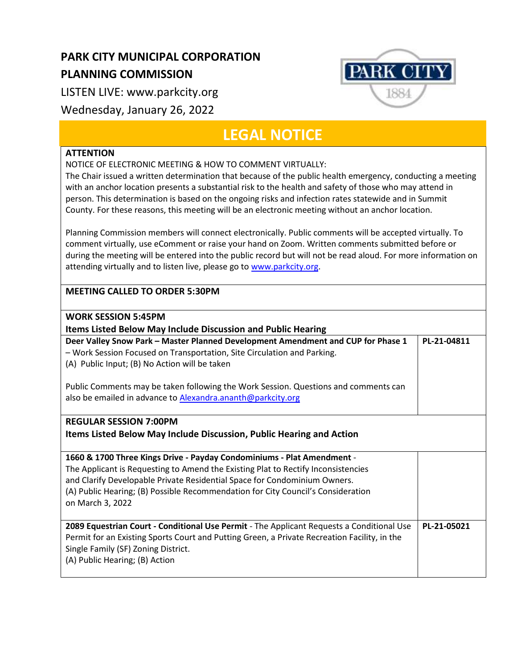## **PARK CITY MUNICIPAL CORPORATION PLANNING COMMISSION**

LISTEN LIVE: www.parkcity.org

## Wednesday, January 26, 2022

## **LEGAL NOTICE**

**PARK CITY** 

1884

## **ATTENTION**

NOTICE OF ELECTRONIC MEETING & HOW TO COMMENT VIRTUALLY:

The Chair issued a written determination that because of the public health emergency, conducting a meeting with an anchor location presents a substantial risk to the health and safety of those who may attend in person. This determination is based on the ongoing risks and infection rates statewide and in Summit County. For these reasons, this meeting will be an electronic meeting without an anchor location.

Planning Commission members will connect electronically. Public comments will be accepted virtually. To comment virtually, use eComment or raise your hand on Zoom. Written comments submitted before or during the meeting will be entered into the public record but will not be read aloud. For more information on attending virtually and to listen live, please go to [www.parkcity.org.](http://www.parkcity.org/)

| <b>MEETING CALLED TO ORDER 5:30PM</b>                                                        |             |
|----------------------------------------------------------------------------------------------|-------------|
| <b>WORK SESSION 5:45PM</b>                                                                   |             |
| <b>Items Listed Below May Include Discussion and Public Hearing</b>                          |             |
| Deer Valley Snow Park - Master Planned Development Amendment and CUP for Phase 1             | PL-21-04811 |
| - Work Session Focused on Transportation, Site Circulation and Parking.                      |             |
| (A) Public Input; (B) No Action will be taken                                                |             |
|                                                                                              |             |
| Public Comments may be taken following the Work Session. Questions and comments can          |             |
| also be emailed in advance to Alexandra.ananth@parkcity.org                                  |             |
|                                                                                              |             |
| <b>REGULAR SESSION 7:00PM</b>                                                                |             |
| Items Listed Below May Include Discussion, Public Hearing and Action                         |             |
|                                                                                              |             |
| 1660 & 1700 Three Kings Drive - Payday Condominiums - Plat Amendment -                       |             |
| The Applicant is Requesting to Amend the Existing Plat to Rectify Inconsistencies            |             |
| and Clarify Developable Private Residential Space for Condominium Owners.                    |             |
| (A) Public Hearing; (B) Possible Recommendation for City Council's Consideration             |             |
| on March 3, 2022                                                                             |             |
|                                                                                              |             |
| 2089 Equestrian Court - Conditional Use Permit - The Applicant Requests a Conditional Use    | PL-21-05021 |
| Permit for an Existing Sports Court and Putting Green, a Private Recreation Facility, in the |             |
| Single Family (SF) Zoning District.                                                          |             |
| (A) Public Hearing; (B) Action                                                               |             |
|                                                                                              |             |